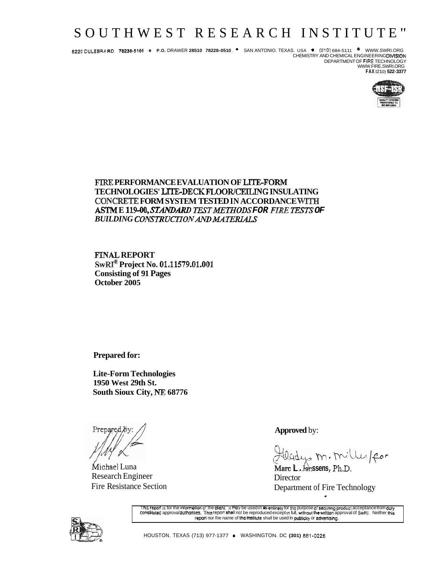# SOUTHWEST RESEARCH INSTITUTE"

6220 CULEBRA RD. 78238-5166 ● P.O. DRAWER 28510 78228-0510 ● SAN ANTONIO. TEXAS. USA ● (210) 684-5111 <sup>●</sup> WWW.SWRI.ORG<br>CHEMISTRY AND CHEMICAL ENGINEERING**DIVISION** 

DEPARTMENT OF FIRE TECHNOLOGY WWW.FIRE.SWRI.ORG FAX (210) 522-3377



### FIRE PERFORMANCE EVALUATION OF LITE-FORM TECHNOLOGIES' LITE-DECK FLOOR/CEILING INSULATING CONCRETE FORM SYSTEM TESTED IN ACCORDANCE WITH ASTM E 119-00, STANDARD TEST METHODS FOR FIRE TESTS OF **BUILDING CONSTRUCTION AND MATERIALS**

**FINAL REPORT** SwRI<sup>®</sup> Project No. 01.11579.01.001 **Consisting of 91 Pages** October 2005

**Prepared for:** 

**Lite-Form Technologies** 1950 West 29th St. South Sioux City, NE 68776

Michael Luna **Research Engineer Fire Resistance Section** 

**Approved** by:

adys m. milles/for

Marc L. Janssens, Ph.D. Director Department of Fire Technology



This report is for the information of the dient. It may be used in its entirety for the purpose of secunng product acceptance from duty<br>constituted approval authorities. This report shall not be reproduced except in full, report nor lhe name of the institute shall be used in publicity or advertising.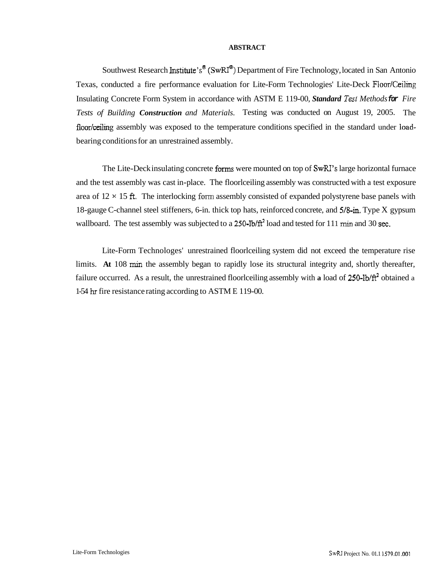#### **ABSTRACT**

Southwest Research Institute's<sup>®</sup> (SwRI<sup>®</sup>) Department of Fire Technology, located in San Antonio Texas, conducted a fire performance evaluation for Lite-Form Technologies' Lite-Deck Floor/Ceiling Insulating Concrete Form System in accordance with ASTM E 119-00, *Standard Tesl Methods* **for** *Fire Tests of Building Construction and Materials.* Testing was conducted on August 19, 2005. The floor/ceiling assembly was exposed to the temperature conditions specified in the standard under loadbearing conditions for an unrestrained assembly.

The Lite-Deck insulating concrete forms were mounted on top of SwRI's large horizontal furnace and the test assembly was cast in-place. The floorlceiling assembly was constructed with a test exposure area of  $12 \times 15$  ft. The interlocking form assembly consisted of expanded polystyrene base panels with 18-gauge C-channel steel stiffeners, 6-in. thick top hats, reinforced concrete, and 5/8-in. Type X gypsum wallboard. The test assembly was subjected to a 250-lb/ $\hat{H}^2$  load and tested for 111 min and 30 sec.

Lite-Form Technologes' unrestrained floorlceiling system did not exceed the temperature rise limits. **At** 108 min the assembly began to rapidly lose its structural integrity and, shortly thereafter, failure occurred. As a result, the unrestrained floorleelling assembly with a load of 250-lb/ft<sup>2</sup> obtained a 1-54 hr fire resistance rating according to ASTM E 1 19-00.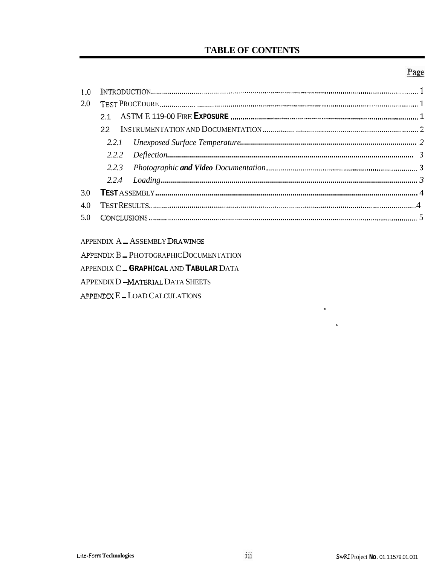## **TABLE OF CONTENTS**

### Page

| 2.0 |  |  |
|-----|--|--|
|     |  |  |
|     |  |  |
|     |  |  |
|     |  |  |
|     |  |  |
|     |  |  |
| 3.0 |  |  |
| 4.0 |  |  |
|     |  |  |

### APPENDIX A \_ ASSEMBLY DRAWINGS

APPENDIX B \_ PHOTOGRAPHIC DOCUMENTATION APPENDIX C \_ GRAPHICAL AND TABULAR DATA APPENDIX D-MATERIAL DATA SHEETS APPENDIX E \_ LOAD CALCULATIONS

 $\bullet$ 

 $\bar{\mathbf{a}}$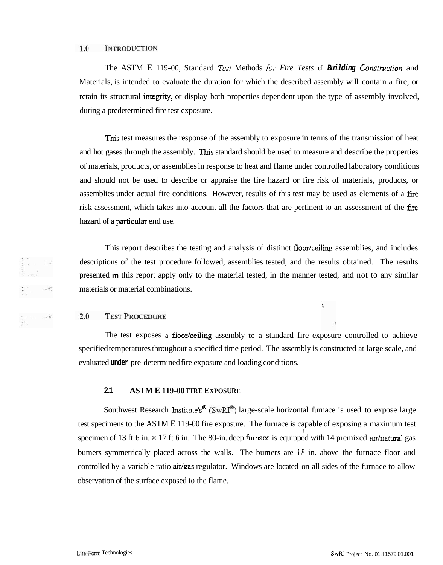#### 1.0 INTRODUCTION

The ASTM E 119-00, Standard *Test* Methods *for Fire Tests* of **Building** Construction and Materials, is intended to evaluate the duration for which the described assembly will contain a fire, or retain its structural integrity, or display both properties dependent upon the type of assembly involved, during a predetermined fire test exposure.

This test measures the response of the assembly to exposure in terms of the transmission of heat and hot gases through the assembly. This standard should be used to measure and describe the properties of materials, products, or assemblies in response to heat and flame under controlled laboratory conditions and should not be used to describe or appraise the fire hazard or fire risk of materials, products, or assemblies under actual fire conditions. However, results of this test may be used as elements of a fire risk assessment, which takes into account all the factors that are pertinent to an assessment of the fire hazard of a particular end use.

This report describes the testing and analysis of distinct floor/ceiling assemblies, and includes descriptions of the test procedure followed, assemblies tested, and the results obtained. The results presented **m** this report apply only to the material tested, in the manner tested, and not to any similar materials or material combinations.

 $\mathbf{S}$ 

#### $2.0$ **TEST PROCEDURE**

The test exposes a floor/ceiling assembly to a standard fire exposure controlled to achieve specified temperatures throughout a specified time period. The assembly is constructed at large scale, and evaluated **under** pre-determined fire exposure and loading conditions.

#### **2.1 ASTM E 119-00 FIRE EXPOSURE**

Southwest Research Institute's<sup>®</sup> (SwRI<sup>®</sup>) large-scale horizontal furnace is used to expose large test specimens to the ASTM E 119-00 fire exposure. The furnace is capable of exposing a maximum test i, specimen of 13 ft 6 in.  $\times$  17 ft 6 in. The 80-in. deep furnace is equipped with 14 premixed air/natural gas bumers symmetrically placed across the walls. The bumers are 18 in. above the furnace floor and controlled by a variable ratio air/gas regulator. Windows are located on all sides of the furnace to allow observation of the surface exposed to the flame.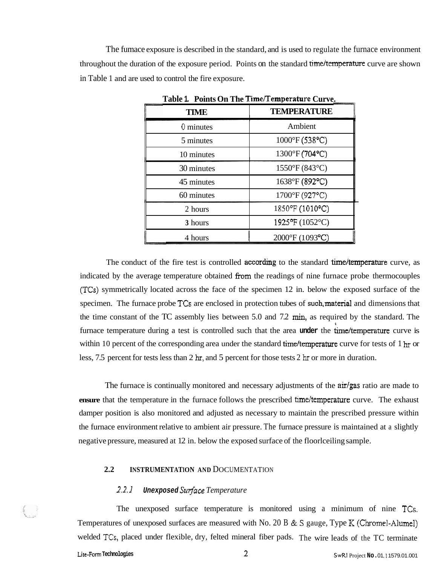The fumace exposure is described in the standard, and is used to regulate the furnace environment throughout the duration of the exposure period. Points on the standard time/temperature curve are shown in Table 1 and are used to control the fire exposure.

| <b>TIME</b> | <b>TEMPERATURE</b>            |
|-------------|-------------------------------|
| 0 minutes   | Ambient                       |
| 5 minutes   | $1000^{\circ}F(538^{\circ}C)$ |
| 10 minutes  | 1300°F (704°C)                |
| 30 minutes  | 1550°F (843°C)                |
| 45 minutes  | 1638°F (892°C)                |
| 60 minutes  | 1700°F (927°C)                |
| 2 hours     | 1850°F (1010°C)               |
| 3 hours     | 1925°F (1052°C)               |
| 4 hours     | 2000°F (1093°C)               |

**Table 1. Points On The Time/Temperature Curve.** 

The conduct of the fire test is controlled **according** to the standard time/temperature curve, as indicated by the average temperature obtained fiom the readings of nine furnace probe thermocouples (TCs) symmetrically located across the face of the specimen 12 in. below the exposed surface of the specimen. The furnace probe  $TCs$  are enclosed in protection tubes of such, material and dimensions that the time constant of the TC assembly lies between 5.0 and 7.2 min, as required by the standard. The **6**  furnace temperature during a test is controlled such that the area under the time/temperature curve is within 10 percent of the corresponding area under the standard time/temperature curve for tests of  $1 \text{ hr}$  or less, 7.5 percent for tests less than 2 hr, and 5 percent for those tests 2 hr or more in duration.

The furnace is continually monitored and necessary adjustments of the  $\frac{air}{gas}$  ratio are made to **ensure** that the temperature in the furnace follows the prescribed time/temperature curve. The exhaust damper position is also monitored and adjusted as necessary to maintain the prescribed pressure within the furnace environment relative to ambient air pressure. The furnace pressure is maintained at a slightly negative pressure, measured at 12 in. below the exposed surface of the floorlceiling sample.

#### 2.2 **INSTRUMENTATION AND DOCUMENTATION**

#### *2.2.1* **Unexposed** *Su7face Temperature*

The unexposed surface temperature is monitored using a minimum of nine TCs. Temperatures of unexposed surfaces are measured with No. 20 B & S gauge, Type K (Chromel-Alumel) welded TCs, placed under flexible, dry, felted mineral fiber pads. The wire leads of the TC terminate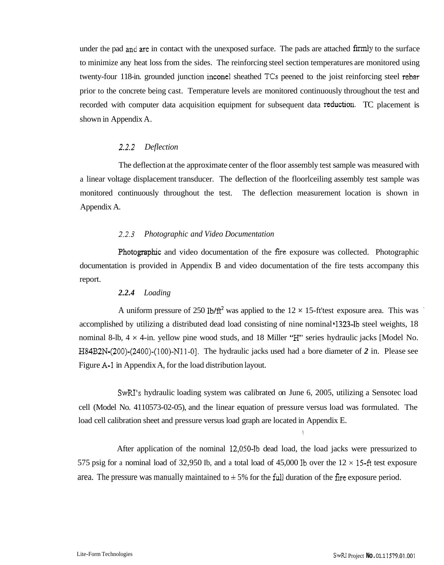under the pad and are in contact with the unexposed surface. The pads are attached firmly to the surface to minimize any heat loss from the sides. The reinforcing steel section temperatures are monitored using twenty-four 118-in. grounded junction inconel sheathed TCs peened to the joist reinforcing steel rebar prior to the concrete being cast. Temperature levels are monitored continuously throughout the test and recorded with computer data acquisition equipment for subsequent data reduction. TC placement is shown in Appendix A.

#### 2.2.2 *Deflection*

The deflection at the approximate center of the floor assembly test sample was measured with a linear voltage displacement transducer. The deflection of the floorlceiling assembly test sample was monitored continuously throughout the test. The deflection measurement location is shown in Appendix A.

#### *2.2.3 Photographic and Video Documentation*

Photographic and video documentation of the fire exposure was collected. Photographic documentation is provided in Appendix B and video documentation of the fire tests accompany this report.

#### *2.2.4 Loading*

A uniform pressure of 250 lb/ $ft^2$  was applied to the 12  $\times$  15-ft'test exposure area. This was accomplished by utilizing a distributed dead load consisting of nine nominal \*1323-lb steel weights, 18 nominal 8-lb,  $4 \times 4$ -in. yellow pine wood studs, and 18 Miller " $H$ " series hydraulic jacks [Model No. H84B2N-(200)-(2400)-(100)-N11-01. The hydraulic jacks used had a bore diameter of *2* in. Please see Figure A-1 in Appendix A, for the load distribution layout.

SwRZ's hydraulic loading system was calibrated on June 6, 2005, utilizing a Sensotec load cell (Model No. 4110573-02-05), and the linear equation of pressure versus load was formulated. The load cell calibration sheet and pressure versus load graph are located in Appendix E.

**1.** 

After application of the nominal 12,050-lb dead load, the load jacks were pressurized to 575 psig for a nominal load of 32,950 Ib, and a total load of 45,000 Ib over the 12 **x** 15-ft test exposure area. The pressure was manually maintained to  $\pm$  5% for the full duration of the fire exposure period.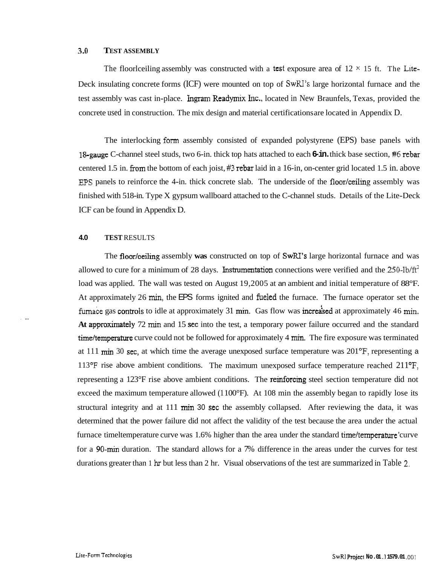#### **3.0 TEST ASSEMBLY**

The floorlceiling assembly was constructed with a test exposure area of  $12 \times 15$  ft. The Lite-Deck insulating concrete forms (ICF) were mounted on top of  $SwRJ$ 's large horizontal furnace and the test assembly was cast in-place. Ingram Readymix Inc., located in New Braunfels, Texas, provided the concrete used in construction. The mix design and material certifications are located in Appendix D.

The interlocking form assembly consisted of expanded polystyrene (EPS) base panels with 1 &gauge C-channel steel studs, two 6-in. thick top hats attached to each **6-in.** thick base section, *#6* rebar centered 1.5 in. from the bottom of each joist, #3 rebar laid in a 16-in, on-center grid located 1.5 in. above EPS panels to reinforce the 4-in. thick concrete slab. The underside of the floor/ceiling assembly was finished with 518-in. Type X gypsum wallboard attached to the C-channel studs. Details of the Lite-Deck ICF can be found in Appendix D.

#### **4.0 TEST** RESULTS

The floor/ceiling assembly was constructed on top of SwRI's large horizontal furnace and was allowed to cure for a minimum of 28 days. Instrumentation connections were verified and the  $250$ -lb/ft<sup>2</sup> load was applied. The wall was tested on August 19,2005 at an ambient and initial temperature of 88°F. At approximately 26 min, the EPS forms ignited and fueled the furnace. The furnace operator set the furnace gas controls to idle at approximately 31 min. Gas flow was increased at approximately 46 min. **At** approximately 72 min and 15 sec into the test, a temporary power failure occurred and the standard time/temperature curve could not be followed for approximately 4 min. The fire exposure was terminated at 111 min 30 sec, at which time the average unexposed surface temperature was  $201^\circ F$ , representing a 113°F rise above ambient conditions. The maximum unexposed surface temperature reached 211°F, representing a 123°F rise above ambient conditions. The reinforcing steel section temperature did not exceed the maximum temperature allowed (1 100°F). At 108 min the assembly began to rapidly lose its structural integrity and at 111 min 30 sec the assembly collapsed. After reviewing the data, it was determined that the power failure did not affect the validity of the test because the area under the actual furnace timeltemperature curve was 1.6% higher than the area under the standard time/temperature 'curve for a 90-min duration. The standard allows for a 7% difference in the areas under the curves for test durations greater than 1 hr but less than 2 hr. Visual observations of the test are summarized in Table 2.